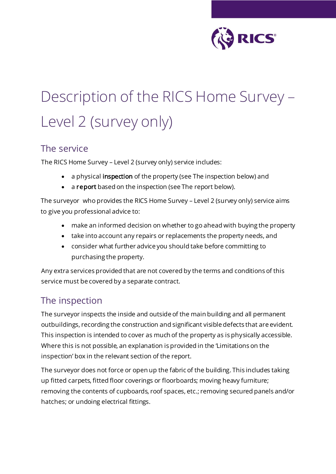

# Description of the RICS Home Survey – Level 2 (survey only)

#### The service

The RICS Home Survey – Level 2 (survey only) service includes:

- a physical inspection of the property (see The inspection below) and
- a report based on the inspection (see The report below).

The surveyor who provides the RICS Home Survey – Level 2 (survey only) service aims to give you professional advice to:

- make an informed decision on whether to go ahead with buying the property
- take into account any repairs or replacements the property needs, and
- consider what further advice you should take before committing to purchasing the property.

Any extra services provided that are not covered by the terms and conditions of this service must be covered by a separate contract.

### The inspection

The surveyor inspects the inside and outside of the main building and all permanent outbuildings, recording the construction and significant visible defects that are evident. This inspection is intended to cover as much of the property as is physically accessible. Where this is not possible, an explanation is provided in the 'Limitations on the inspection' box in the relevant section of the report.

The surveyor does not force or open up the fabric of the building. This includes taking up fitted carpets, fitted floor coverings or floorboards; moving heavy furniture; removing the contents of cupboards, roof spaces, etc.; removing secured panels and/or hatches; or undoing electrical fittings.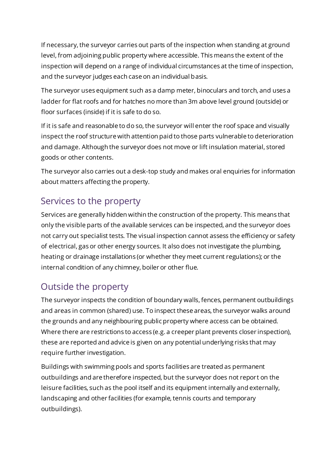If necessary, the surveyor carries out parts of the inspection when standing at ground level, from adjoining public property where accessible. This means the extent of the inspection will depend on a range of individual circumstances at the time of inspection, and the surveyor judges each case on an individual basis.

The surveyor uses equipment such as a damp meter, binoculars and torch, and uses a ladder for flat roofs and for hatches no more than 3m above level ground (outside) or floor surfaces (inside) if it is safe to do so.

If it is safe and reasonable to do so, the surveyor will enter the roof space and visually inspect the roof structure with attention paid to those parts vulnerable to deterioration and damage. Although the surveyor does not move or lift insulation material, stored goods or other contents.

The surveyor also carries out a desk-top study and makes oral enquiries for information about matters affecting the property.

#### Services to the property

Services are generally hidden within the construction of the property. This means that only the visible parts of the available services can be inspected, and the surveyor does not carry out specialist tests. The visual inspection cannot assess the efficiency or safety of electrical, gas or other energy sources. It also does not investigate the plumbing, heating or drainage installations (or whether they meet current regulations); or the internal condition of any chimney, boiler or other flue.

# Outside the property

The surveyor inspects the condition of boundary walls, fences, permanent outbuildings and areas in common (shared) use. To inspect these areas, the surveyor walks around the grounds and any neighbouring public property where access can be obtained. Where there are restrictions to access (e.g. a creeper plant prevents closer inspection), these are reported and advice is given on any potential underlying risks that may require further investigation.

Buildings with swimming pools and sports facilities are treated as permanent outbuildings and are therefore inspected, but the surveyor does not report on the leisure facilities, such as the pool itself and its equipment internally and externally, landscaping and other facilities (for example, tennis courts and temporary outbuildings).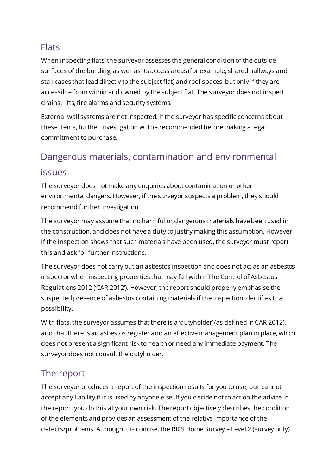### **Flats**

When inspecting flats, the surveyor assesses the general condition of the outside surfaces of the building, as well as its access areas (for example, shared hallways and staircases that lead directly to the subject flat) and roof spaces, but only if they are accessible from within and owned by the subject flat. The surveyor does not inspect drains, lifts, fire alarms and security systems.

External wall systems are not inspected. If the surveyor has specific concerns about these items, further investigation will be recommended before making a legal commitment to purchase.

# Dangerous materials, contamination and environmental

#### issues

The surveyor does not make any enquiries about contamination or other environmental dangers. However, if the surveyor suspects a problem, they should recommend further investigation.

The surveyor may assume that no harmful or dangerous materials have been used in the construction, and does not have a duty to justify making this assumption. However, if the inspection shows that such materials have been used, the surveyor must report this and ask for further instructions.

The surveyor does not carry out an asbestos inspection and does not act as an asbestos inspector when inspecting properties that may fall within The Control of Asbestos Regulations 2012 ('CAR 2012'). However, the report should properly emphasise the suspected presence of asbestos containing materials if the inspection identifies that possibility.

With flats, the surveyor assumes that there is a 'dutyholder' (as defined in CAR 2012), and that there is an asbestos register and an effective management plan in place, which does not present a significant risk to health or need any immediate payment. The surveyor does not consult the dutyholder.

# The report

The surveyor produces a report of the inspection results for you to use, but cannot accept any liability if it is used by anyone else. If you decide not to act on the advice in the report, you do this at your own risk. The report objectively describes the condition of the elements and provides an assessment of the relative importance of the defects/problems. Although it is concise, the RICS Home Survey – Level 2 (survey only)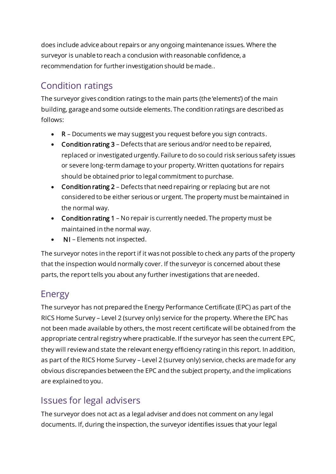does include advice about repairs or any ongoing maintenance issues. Where the surveyor is unable to reach a conclusion with reasonable confidence, a recommendation for further investigation should be made..

# Condition ratings

The surveyor gives condition ratings to the main parts (the 'elements') of the main building, garage and some outside elements. The condition ratings are described as follows:

- R Documents we may suggest you request before you sign contracts.
- Condition rating 3 Defects that are serious and/or need to be repaired, replaced or investigated urgently. Failure to do so could risk serious safety issues or severe long-term damage to your property. Written quotations for repairs should be obtained prior to legal commitment to purchase.
- Condition rating 2 Defects that need repairing or replacing but are not considered to be either serious or urgent. The property must be maintained in the normal way.
- Condition rating 1 No repair is currently needed. The property must be maintained in the normal way.
- NI Elements not inspected.

The surveyor notes in the report if it was not possible to check any parts of the property that the inspection would normally cover. If the surveyor is concerned about these parts, the report tells you about any further investigations that are needed.

### Energy

The surveyor has not prepared the Energy Performance Certificate (EPC) as part of the RICS Home Survey – Level 2 (survey only) service for the property. Where the EPC has not been made available by others, the most recent certificate will be obtained from the appropriate central registry where practicable. If the surveyor has seen the current EPC, they will review and state the relevant energy efficiency rating in this report. In addition, as part of the RICS Home Survey – Level 2 (survey only) service, checks are made for any obvious discrepancies between the EPC and the subject property, and the implications are explained to you.

# Issues for legal advisers

The surveyor does not act as a legal adviser and does not comment on any legal documents. If, during the inspection, the surveyor identifies issues that your legal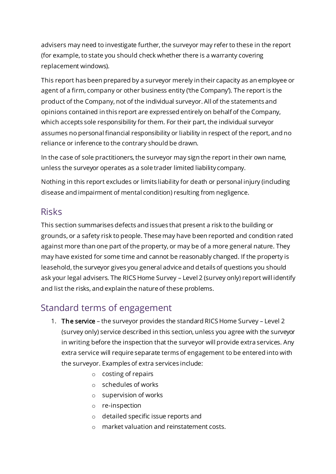advisers may need to investigate further, the surveyor may refer to these in the report (for example, to state you should check whether there is a warranty covering replacement windows).

This report has been prepared by a surveyor merely in their capacity as an employee or agent of a firm, company or other business entity ('the Company'). The report is the product of the Company, not of the individual surveyor. All of the statements and opinions contained in this report are expressed entirely on behalf of the Company, which accepts sole responsibility for them. For their part, the individual surveyor assumes no personal financial responsibility or liability in respect of the report, and no reliance or inference to the contrary should be drawn.

In the case of sole practitioners, the surveyor may sign the report in their own name, unless the surveyor operates as a sole trader limited liability company.

Nothing in this report excludes or limits liability for death or personal injury (including disease and impairment of mental condition) resulting from negligence.

### Risks

This section summarises defects and issues that present a risk to the building or grounds, or a safety risk to people. These may have been reported and condition rated against more than one part of the property, or may be of a more general nature. They may have existed for some time and cannot be reasonably changed. If the property is leasehold, the surveyor gives you general advice and details of questions you should ask your legal advisers. The RICS Home Survey – Level 2 (survey only) report will identify and list the risks, and explain the nature of these problems.

## Standard terms of engagement

- 1. The service the surveyor provides the standard RICS Home Survey Level 2 (survey only) service described in this section, unless you agree with the surveyor in writing before the inspection that the surveyor will provide extra services. Any extra service will require separate terms of engagement to be entered into with the surveyor. Examples of extra services include:
	- o costing of repairs
	- o schedules of works
	- o supervision of works
	- o re-inspection
	- o detailed specific issue reports and
	- o market valuation and reinstatement costs.